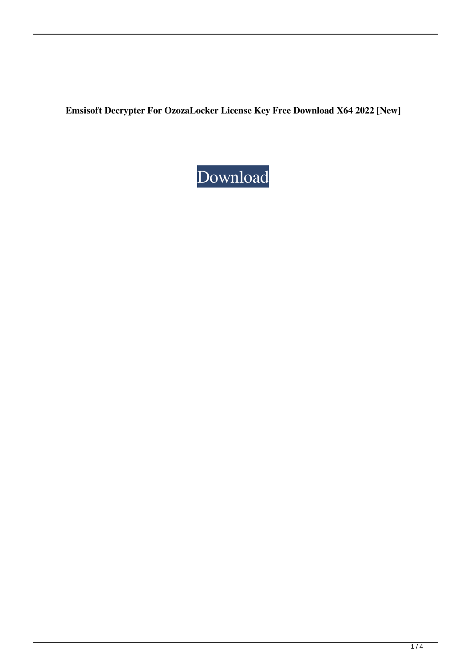**Emsisoft Decrypter For OzozaLocker License Key Free Download X64 2022 [New]**

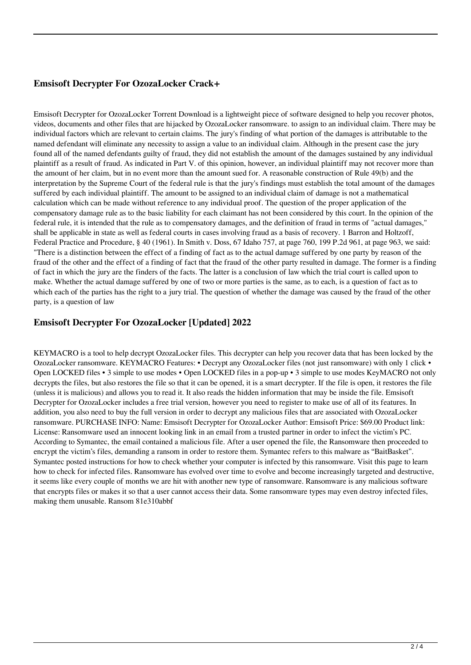## **Emsisoft Decrypter For OzozaLocker Crack+**

Emsisoft Decrypter for OzozaLocker Torrent Download is a lightweight piece of software designed to help you recover photos, videos, documents and other files that are hijacked by OzozaLocker ransomware. to assign to an individual claim. There may be individual factors which are relevant to certain claims. The jury's finding of what portion of the damages is attributable to the named defendant will eliminate any necessity to assign a value to an individual claim. Although in the present case the jury found all of the named defendants guilty of fraud, they did not establish the amount of the damages sustained by any individual plaintiff as a result of fraud. As indicated in Part V. of this opinion, however, an individual plaintiff may not recover more than the amount of her claim, but in no event more than the amount sued for. A reasonable construction of Rule 49(b) and the interpretation by the Supreme Court of the federal rule is that the jury's findings must establish the total amount of the damages suffered by each individual plaintiff. The amount to be assigned to an individual claim of damage is not a mathematical calculation which can be made without reference to any individual proof. The question of the proper application of the compensatory damage rule as to the basic liability for each claimant has not been considered by this court. In the opinion of the federal rule, it is intended that the rule as to compensatory damages, and the definition of fraud in terms of "actual damages," shall be applicable in state as well as federal courts in cases involving fraud as a basis of recovery. 1 Barron and Holtzoff, Federal Practice and Procedure, § 40 (1961). In Smith v. Doss, 67 Idaho 757, at page 760, 199 P.2d 961, at page 963, we said: "There is a distinction between the effect of a finding of fact as to the actual damage suffered by one party by reason of the fraud of the other and the effect of a finding of fact that the fraud of the other party resulted in damage. The former is a finding of fact in which the jury are the finders of the facts. The latter is a conclusion of law which the trial court is called upon to make. Whether the actual damage suffered by one of two or more parties is the same, as to each, is a question of fact as to which each of the parties has the right to a jury trial. The question of whether the damage was caused by the fraud of the other party, is a question of law

#### **Emsisoft Decrypter For OzozaLocker [Updated] 2022**

KEYMACRO is a tool to help decrypt OzozaLocker files. This decrypter can help you recover data that has been locked by the OzozaLocker ransomware. KEYMACRO Features: • Decrypt any OzozaLocker files (not just ransomware) with only 1 click • Open LOCKED files • 3 simple to use modes • Open LOCKED files in a pop-up • 3 simple to use modes KeyMACRO not only decrypts the files, but also restores the file so that it can be opened, it is a smart decrypter. If the file is open, it restores the file (unless it is malicious) and allows you to read it. It also reads the hidden information that may be inside the file. Emsisoft Decrypter for OzozaLocker includes a free trial version, however you need to register to make use of all of its features. In addition, you also need to buy the full version in order to decrypt any malicious files that are associated with OzozaLocker ransomware. PURCHASE INFO: Name: Emsisoft Decrypter for OzozaLocker Author: Emsisoft Price: \$69.00 Product link: License: Ransomware used an innocent looking link in an email from a trusted partner in order to infect the victim's PC. According to Symantec, the email contained a malicious file. After a user opened the file, the Ransomware then proceeded to encrypt the victim's files, demanding a ransom in order to restore them. Symantec refers to this malware as "BaitBasket". Symantec posted instructions for how to check whether your computer is infected by this ransomware. Visit this page to learn how to check for infected files. Ransomware has evolved over time to evolve and become increasingly targeted and destructive, it seems like every couple of months we are hit with another new type of ransomware. Ransomware is any malicious software that encrypts files or makes it so that a user cannot access their data. Some ransomware types may even destroy infected files, making them unusable. Ransom 81e310abbf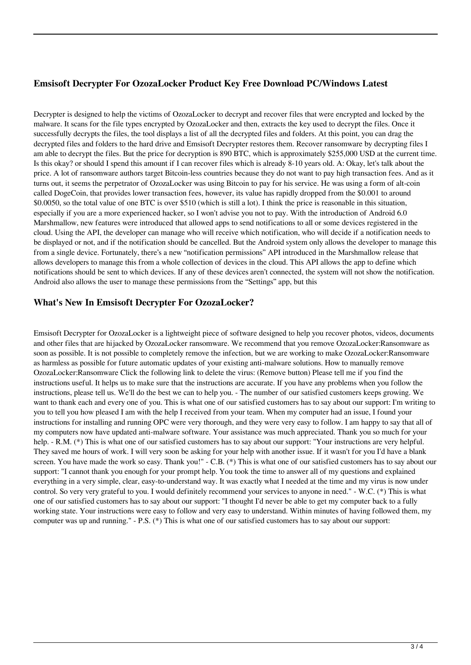## **Emsisoft Decrypter For OzozaLocker Product Key Free Download PC/Windows Latest**

Decrypter is designed to help the victims of OzozaLocker to decrypt and recover files that were encrypted and locked by the malware. It scans for the file types encrypted by OzozaLocker and then, extracts the key used to decrypt the files. Once it successfully decrypts the files, the tool displays a list of all the decrypted files and folders. At this point, you can drag the decrypted files and folders to the hard drive and Emsisoft Decrypter restores them. Recover ransomware by decrypting files I am able to decrypt the files. But the price for decryption is 890 BTC, which is approximately \$255,000 USD at the current time. Is this okay? or should I spend this amount if I can recover files which is already 8-10 years old. A: Okay, let's talk about the price. A lot of ransomware authors target Bitcoin-less countries because they do not want to pay high transaction fees. And as it turns out, it seems the perpetrator of OzozaLocker was using Bitcoin to pay for his service. He was using a form of alt-coin called DogeCoin, that provides lower transaction fees, however, its value has rapidly dropped from the \$0.001 to around \$0.0050, so the total value of one BTC is over \$510 (which is still a lot). I think the price is reasonable in this situation, especially if you are a more experienced hacker, so I won't advise you not to pay. With the introduction of Android 6.0 Marshmallow, new features were introduced that allowed apps to send notifications to all or some devices registered in the cloud. Using the API, the developer can manage who will receive which notification, who will decide if a notification needs to be displayed or not, and if the notification should be cancelled. But the Android system only allows the developer to manage this from a single device. Fortunately, there's a new "notification permissions" API introduced in the Marshmallow release that allows developers to manage this from a whole collection of devices in the cloud. This API allows the app to define which notifications should be sent to which devices. If any of these devices aren't connected, the system will not show the notification. Android also allows the user to manage these permissions from the "Settings" app, but this

## **What's New In Emsisoft Decrypter For OzozaLocker?**

Emsisoft Decrypter for OzozaLocker is a lightweight piece of software designed to help you recover photos, videos, documents and other files that are hijacked by OzozaLocker ransomware. We recommend that you remove OzozaLocker:Ransomware as soon as possible. It is not possible to completely remove the infection, but we are working to make OzozaLocker:Ransomware as harmless as possible for future automatic updates of your existing anti-malware solutions. How to manually remove OzozaLocker:Ransomware Click the following link to delete the virus: (Remove button) Please tell me if you find the instructions useful. It helps us to make sure that the instructions are accurate. If you have any problems when you follow the instructions, please tell us. We'll do the best we can to help you. - The number of our satisfied customers keeps growing. We want to thank each and every one of you. This is what one of our satisfied customers has to say about our support: I'm writing to you to tell you how pleased I am with the help I received from your team. When my computer had an issue, I found your instructions for installing and running OPC were very thorough, and they were very easy to follow. I am happy to say that all of my computers now have updated anti-malware software. Your assistance was much appreciated. Thank you so much for your help. - R.M. (\*) This is what one of our satisfied customers has to say about our support: "Your instructions are very helpful. They saved me hours of work. I will very soon be asking for your help with another issue. If it wasn't for you I'd have a blank screen. You have made the work so easy. Thank you!" - C.B. (\*) This is what one of our satisfied customers has to say about our support: "I cannot thank you enough for your prompt help. You took the time to answer all of my questions and explained everything in a very simple, clear, easy-to-understand way. It was exactly what I needed at the time and my virus is now under control. So very very grateful to you. I would definitely recommend your services to anyone in need." - W.C. (\*) This is what one of our satisfied customers has to say about our support: "I thought I'd never be able to get my computer back to a fully working state. Your instructions were easy to follow and very easy to understand. Within minutes of having followed them, my computer was up and running." - P.S. (\*) This is what one of our satisfied customers has to say about our support: